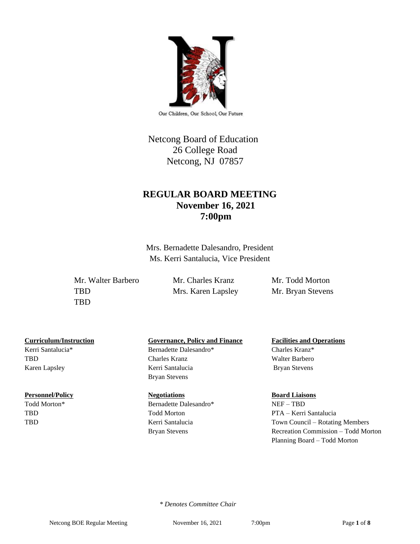

Our Children, Our School, Our Future

# Netcong Board of Education 26 College Road Netcong, NJ 07857

# **REGULAR BOARD MEETING November 16, 2021 7:00pm**

Mrs. Bernadette Dalesandro, President Ms. Kerri Santalucia, Vice President

Mr. Walter Barbero Mr. Charles Kranz Mr. Todd Morton TBD Mrs. Karen Lapsley Mr. Bryan Stevens TBD

Kerri Santalucia\* Bernadette Dalesandro\* Charles Kranz\*

#### **Personnel/Policy Regotiations Board Liaisons Board Liaisons**

## **Curriculum/Instruction Governance, Policy and Finance Facilities and Operations**

TBD Charles Kranz Walter Barbero Karen Lapsley **Kerri Santalucia** Bryan Stevens Bryan Stevens

Todd Morton\* Bernadette Dalesandro\* NEF – TBD

# TBD Todd Morton PTA – Kerri Santalucia

TBD Kerri Santalucia Town Council – Rotating Members Bryan Stevens Recreation Commission – Todd Morton Planning Board – Todd Morton

 *\* Denotes Committee Chair*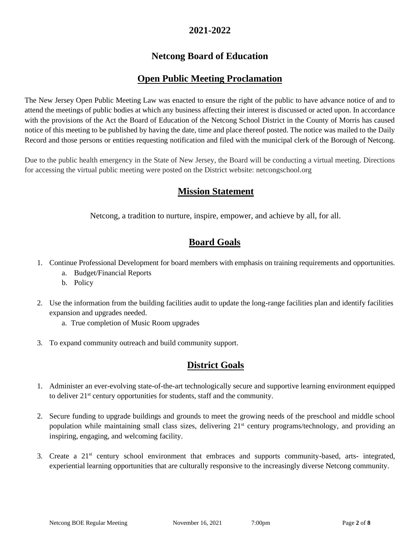# **2021-2022**

# **Netcong Board of Education**

# **Open Public Meeting Proclamation**

The New Jersey Open Public Meeting Law was enacted to ensure the right of the public to have advance notice of and to attend the meetings of public bodies at which any business affecting their interest is discussed or acted upon. In accordance with the provisions of the Act the Board of Education of the Netcong School District in the County of Morris has caused notice of this meeting to be published by having the date, time and place thereof posted. The notice was mailed to the Daily Record and those persons or entities requesting notification and filed with the municipal clerk of the Borough of Netcong.

Due to the public health emergency in the State of New Jersey, the Board will be conducting a virtual meeting. Directions for accessing the virtual public meeting were posted on the District website: netcongschool.org

# **Mission Statement**

Netcong, a tradition to nurture, inspire, empower, and achieve by all, for all.

# **Board Goals**

- 1. Continue Professional Development for board members with emphasis on training requirements and opportunities.
	- a. Budget/Financial Reports
	- b. Policy
- 2. Use the information from the building facilities audit to update the long-range facilities plan and identify facilities expansion and upgrades needed.
	- a. True completion of Music Room upgrades
- 3. To expand community outreach and build community support.

# **District Goals**

- 1. Administer an ever-evolving state-of-the-art technologically secure and supportive learning environment equipped to deliver 21st century opportunities for students, staff and the community.
- 2. Secure funding to upgrade buildings and grounds to meet the growing needs of the preschool and middle school population while maintaining small class sizes, delivering 21<sup>st</sup> century programs/technology, and providing an inspiring, engaging, and welcoming facility.
- 3. Create a 21st century school environment that embraces and supports community-based, arts- integrated, experiential learning opportunities that are culturally responsive to the increasingly diverse Netcong community.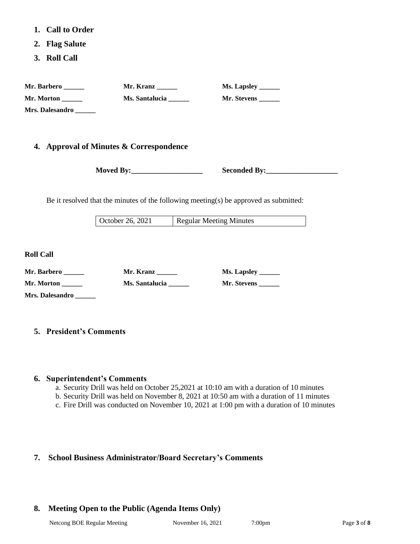- **1. Call to Order**
- **2. Flag Salute**
- **3. Roll Call**

| Mr. Barbero            | Mr. Kranz      | <b>Ms. Lapsley _______</b> |
|------------------------|----------------|----------------------------|
| Mr. Morton             | Ms. Santalucia | Mr. Stevens                |
| <b>Mrs. Dalesandro</b> |                |                            |

#### **4. Approval of Minutes & Correspondence**

**Moved By:** Seconded By:

Be it resolved that the minutes of the following meeting(s) be approved as submitted:

October 26, 2021 Regular Meeting Minutes

**Roll Call**

| Mr. Barbero            | Mr. Kranz      | Ms. Lapsley |
|------------------------|----------------|-------------|
| Mr. Morton             | Ms. Santalucia | Mr. Stevens |
| <b>Mrs. Dalesandro</b> |                |             |

#### **5. President's Comments**

#### **6. Superintendent's Comments**

- a. Security Drill was held on October 25,2021 at 10:10 am with a duration of 10 minutes
- b. Security Drill was held on November 8, 2021 at 10:50 am with a duration of 11 minutes
- c. Fire Drill was conducted on November 10, 2021 at 1:00 pm with a duration of 10 minutes

### **7. School Business Administrator/Board Secretary's Comments**

### **8. Meeting Open to the Public (Agenda Items Only)**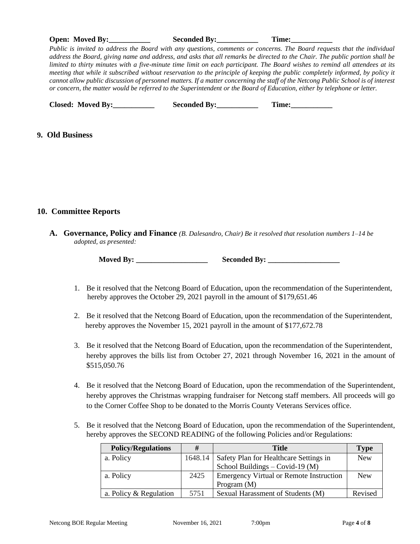|                              | Public is invited to address the Board with any questions, comments or concerns. The Board requests that the individual<br>address the Board, giving name and address, and asks that all remarks be directed to the Chair. The public portion shall be<br>limited to thirty minutes with a five-minute time limit on each participant. The Board wishes to remind all attendees at its<br>meeting that while it subscribed without reservation to the principle of keeping the public completely informed, by policy it<br>cannot allow public discussion of personnel matters. If a matter concerning the staff of the Netcong Public School is of interest<br>or concern, the matter would be referred to the Superintendent or the Board of Education, either by telephone or letter. |  |
|------------------------------|------------------------------------------------------------------------------------------------------------------------------------------------------------------------------------------------------------------------------------------------------------------------------------------------------------------------------------------------------------------------------------------------------------------------------------------------------------------------------------------------------------------------------------------------------------------------------------------------------------------------------------------------------------------------------------------------------------------------------------------------------------------------------------------|--|
| Closed: Moved By:___________ | Seconded By: Time:                                                                                                                                                                                                                                                                                                                                                                                                                                                                                                                                                                                                                                                                                                                                                                       |  |
| 9. Old Business              |                                                                                                                                                                                                                                                                                                                                                                                                                                                                                                                                                                                                                                                                                                                                                                                          |  |
| 10. Committee Reports        |                                                                                                                                                                                                                                                                                                                                                                                                                                                                                                                                                                                                                                                                                                                                                                                          |  |

**A. Governance, Policy and Finance** *(B. Dalesandro, Chair) Be it resolved that resolution numbers 1–14 be adopted, as presented:*

- 1. Be it resolved that the Netcong Board of Education, upon the recommendation of the Superintendent, hereby approves the October 29, 2021 payroll in the amount of \$179,651.46
- 2. Be it resolved that the Netcong Board of Education, upon the recommendation of the Superintendent, hereby approves the November 15, 2021 payroll in the amount of \$177,672.78
- 3. Be it resolved that the Netcong Board of Education, upon the recommendation of the Superintendent, hereby approves the bills list from October 27, 2021 through November 16, 2021 in the amount of \$515,050.76
- 4. Be it resolved that the Netcong Board of Education, upon the recommendation of the Superintendent, hereby approves the Christmas wrapping fundraiser for Netcong staff members. All proceeds will go to the Corner Coffee Shop to be donated to the Morris County Veterans Services office.
- 5. Be it resolved that the Netcong Board of Education, upon the recommendation of the Superintendent, hereby approves the SECOND READING of the following Policies and/or Regulations:

| <b>Policy/Regulations</b> | #    | <b>Title</b>                                     | <b>Type</b> |
|---------------------------|------|--------------------------------------------------|-------------|
| a. Policy                 |      | 1648.14   Safety Plan for Healthcare Settings in | <b>New</b>  |
|                           |      | School Buildings – Covid-19 $(M)$                |             |
| a. Policy                 | 2425 | <b>Emergency Virtual or Remote Instruction</b>   | <b>New</b>  |
|                           |      | Program $(M)$                                    |             |
| a. Policy & Regulation    | 5751 | Sexual Harassment of Students (M)                | Revised     |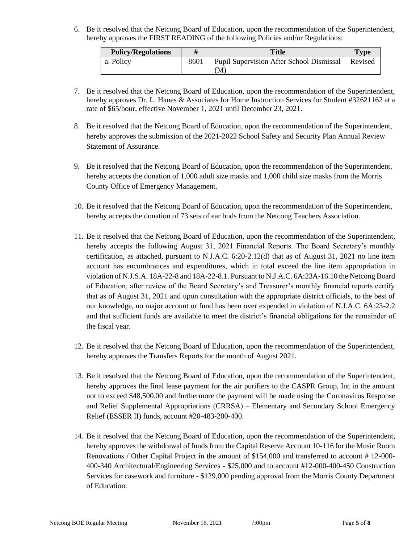6. Be it resolved that the Netcong Board of Education, upon the recommendation of the Superintendent, hereby approves the FIRST READING of the following Policies and/or Regulations:

| <b>Policy/Regulations</b> |      | Title                                          | <b>Type</b> |
|---------------------------|------|------------------------------------------------|-------------|
| a. Policy                 | 8601 | Pupil Supervision After School Dismissal<br>'M | Revised     |

- 7. Be it resolved that the Netcong Board of Education, upon the recommendation of the Superintendent, hereby approves Dr. L. Hanes & Associates for Home Instruction Services for Student #32621162 at a rate of \$65/hour, effective November 1, 2021 until December 23, 2021.
- 8. Be it resolved that the Netcong Board of Education, upon the recommendation of the Superintendent, hereby approves the submission of the 2021-2022 School Safety and Security Plan Annual Review Statement of Assurance.
- 9. Be it resolved that the Netcong Board of Education, upon the recommendation of the Superintendent, hereby accepts the donation of 1,000 adult size masks and 1,000 child size masks from the Morris County Office of Emergency Management.
- 10. Be it resolved that the Netcong Board of Education, upon the recommendation of the Superintendent, hereby accepts the donation of 73 sets of ear buds from the Netcong Teachers Association.
- 11. Be it resolved that the Netcong Board of Education, upon the recommendation of the Superintendent, hereby accepts the following August 31, 2021 Financial Reports. The Board Secretary's monthly certification, as attached, pursuant to N.J.A.C. 6:20-2.12(d) that as of August 31, 2021 no line item account has encumbrances and expenditures, which in total exceed the line item appropriation in violation of N.J.S.A. 18A-22-8 and 18A-22-8.1. Pursuant to N.J.A.C. 6A:23A-16.10 the Netcong Board of Education, after review of the Board Secretary's and Treasurer's monthly financial reports certify that as of August 31, 2021 and upon consultation with the appropriate district officials, to the best of our knowledge, no major account or fund has been over expended in violation of N.J.A.C. 6A:23-2.2 and that sufficient funds are available to meet the district's financial obligations for the remainder of the fiscal year.
- 12. Be it resolved that the Netcong Board of Education, upon the recommendation of the Superintendent, hereby approves the Transfers Reports for the month of August 2021.
- 13. Be it resolved that the Netcong Board of Education, upon the recommendation of the Superintendent, hereby approves the final lease payment for the air purifiers to the CASPR Group, Inc in the amount not to exceed \$48,500.00 and furthermore the payment will be made using the Coronavirus Response and Relief Supplemental Appropriations (CRRSA) – Elementary and Secondary School Emergency Relief (ESSER II) funds, account #20-483-200-400.
- 14. Be it resolved that the Netcong Board of Education, upon the recommendation of the Superintendent, hereby approves the withdrawal of funds from the Capital Reserve Account 10-116 for the Music Room Renovations / Other Capital Project in the amount of \$154,000 and transferred to account # 12-000- 400-340 Architectural/Engineering Services - \$25,000 and to account #12-000-400-450 Construction Services for casework and furniture - \$129,000 pending approval from the Morris County Department of Education.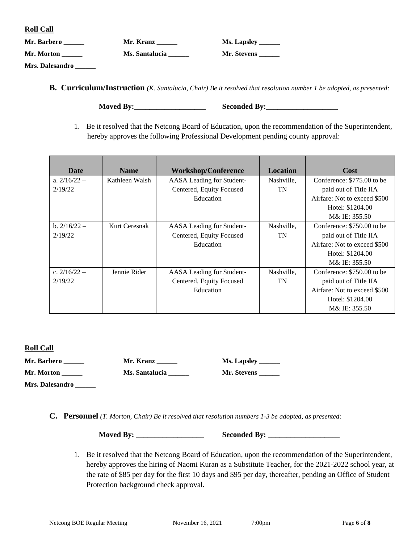|--|--|--|

| Mr. Barbero     | Mr. Kranz      | <b>Ms. Lapsley</b> |
|-----------------|----------------|--------------------|
| Mr. Morton      | Ms. Santalucia | Mr. Stevens        |
| Mrs. Dalesandro |                |                    |

**B. Curriculum/Instruction** *(K. Santalucia, Chair) Be it resolved that resolution number 1 be adopted, as presented:*

| <b>Moved By:</b> | <b>Seconded By:</b> |
|------------------|---------------------|
|                  |                     |

1. Be it resolved that the Netcong Board of Education, upon the recommendation of the Superintendent, hereby approves the following Professional Development pending county approval:

| Date           | <b>Name</b>    | <b>Workshop/Conference</b> | <b>Location</b> | <b>Cost</b>                  |
|----------------|----------------|----------------------------|-----------------|------------------------------|
| a. $2/16/22 -$ | Kathleen Walsh | AASA Leading for Student-  | Nashville,      | Conference: \$775.00 to be   |
| 2/19/22        |                | Centered, Equity Focused   | TN              | paid out of Title IIA        |
|                |                | Education                  |                 | Airfare: Not to exceed \$500 |
|                |                |                            |                 | Hotel: \$1204.00             |
|                |                |                            |                 | M& IE: 355.50                |
| b. $2/16/22 -$ | Kurt Ceresnak  | AASA Leading for Student-  | Nashville,      | Conference: \$750.00 to be   |
| 2/19/22        |                | Centered, Equity Focused   | TN              | paid out of Title IIA        |
|                |                | Education                  |                 | Airfare: Not to exceed \$500 |
|                |                |                            |                 | Hotel: \$1204.00             |
|                |                |                            |                 | M& IE: 355.50                |
| c. $2/16/22 -$ | Jennie Rider   | AASA Leading for Student-  | Nashville,      | Conference: \$750.00 to be   |
| 2/19/22        |                | Centered, Equity Focused   | TN              | paid out of Title IIA        |
|                |                | Education                  |                 | Airfare: Not to exceed \$500 |
|                |                |                            |                 | Hotel: \$1204.00             |
|                |                |                            |                 | M& IE: 355.50                |

#### **Roll Call**

| Mr. Barbero     | Mr. Kranz      | <b>Ms. Lapsley</b> |
|-----------------|----------------|--------------------|
| Mr. Morton      | Ms. Santalucia | Mr. Stevens        |
| Mrs. Dalesandro |                |                    |

**C. Personnel** *(T. Morton, Chair) Be it resolved that resolution numbers 1-3 be adopted, as presented:*

**Moved By: \_\_\_\_\_\_\_\_\_\_\_\_\_\_\_\_\_\_ Seconded By: \_\_\_\_\_\_\_\_\_\_\_\_\_\_\_\_\_\_\_**

1. Be it resolved that the Netcong Board of Education, upon the recommendation of the Superintendent, hereby approves the hiring of Naomi Kuran as a Substitute Teacher, for the 2021-2022 school year, at the rate of \$85 per day for the first 10 days and \$95 per day, thereafter, pending an Office of Student Protection background check approval.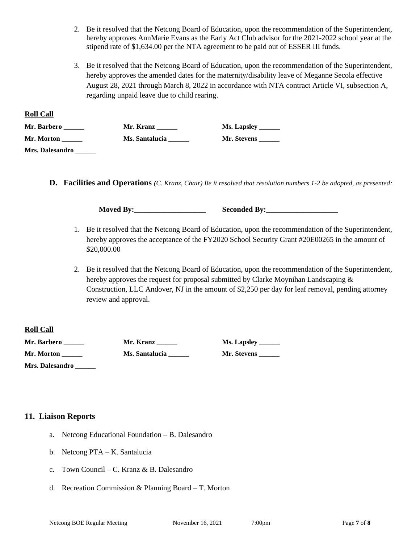- 2. Be it resolved that the Netcong Board of Education, upon the recommendation of the Superintendent, hereby approves AnnMarie Evans as the Early Act Club advisor for the 2021-2022 school year at the stipend rate of \$1,634.00 per the NTA agreement to be paid out of ESSER III funds.
- 3. Be it resolved that the Netcong Board of Education, upon the recommendation of the Superintendent, hereby approves the amended dates for the maternity/disability leave of Meganne Secola effective August 28, 2021 through March 8, 2022 in accordance with NTA contract Article VI, subsection A, regarding unpaid leave due to child rearing.

| Mr. Barbero     | Mr. Kranz      | <b>Ms. Lapsley</b> |
|-----------------|----------------|--------------------|
| Mr. Morton      | Ms. Santalucia | Mr. Stevens        |
| Mrs. Dalesandro |                |                    |

**D. Facilities and Operations** *(C. Kranz, Chair) Be it resolved that resolution numbers 1-2 be adopted, as presented:*

**Moved By:\_\_\_\_\_\_\_\_\_\_\_\_\_\_\_\_\_\_\_ Seconded By:\_\_\_\_\_\_\_\_\_\_\_\_\_\_\_\_\_\_\_**

- 1. Be it resolved that the Netcong Board of Education, upon the recommendation of the Superintendent, hereby approves the acceptance of the FY2020 School Security Grant #20E00265 in the amount of \$20,000.00
- 2. Be it resolved that the Netcong Board of Education, upon the recommendation of the Superintendent, hereby approves the request for proposal submitted by Clarke Moynihan Landscaping  $\&$ Construction, LLC Andover, NJ in the amount of \$2,250 per day for leaf removal, pending attorney review and approval.

#### **Roll Call**

**Roll Call**

| Mr. Barbero | Mr. Kranz             | Ms. Lapsley _______ |
|-------------|-----------------------|---------------------|
| Mr. Morton  | <b>Ms. Santalucia</b> | Mr. Stevens         |

**Mrs. Dalesandro** *\_\_\_\_\_\_*

### **11. Liaison Reports**

- a. Netcong Educational Foundation B. Dalesandro
- b. Netcong PTA K. Santalucia
- c. Town Council C. Kranz & B. Dalesandro
- d. Recreation Commission & Planning Board T. Morton